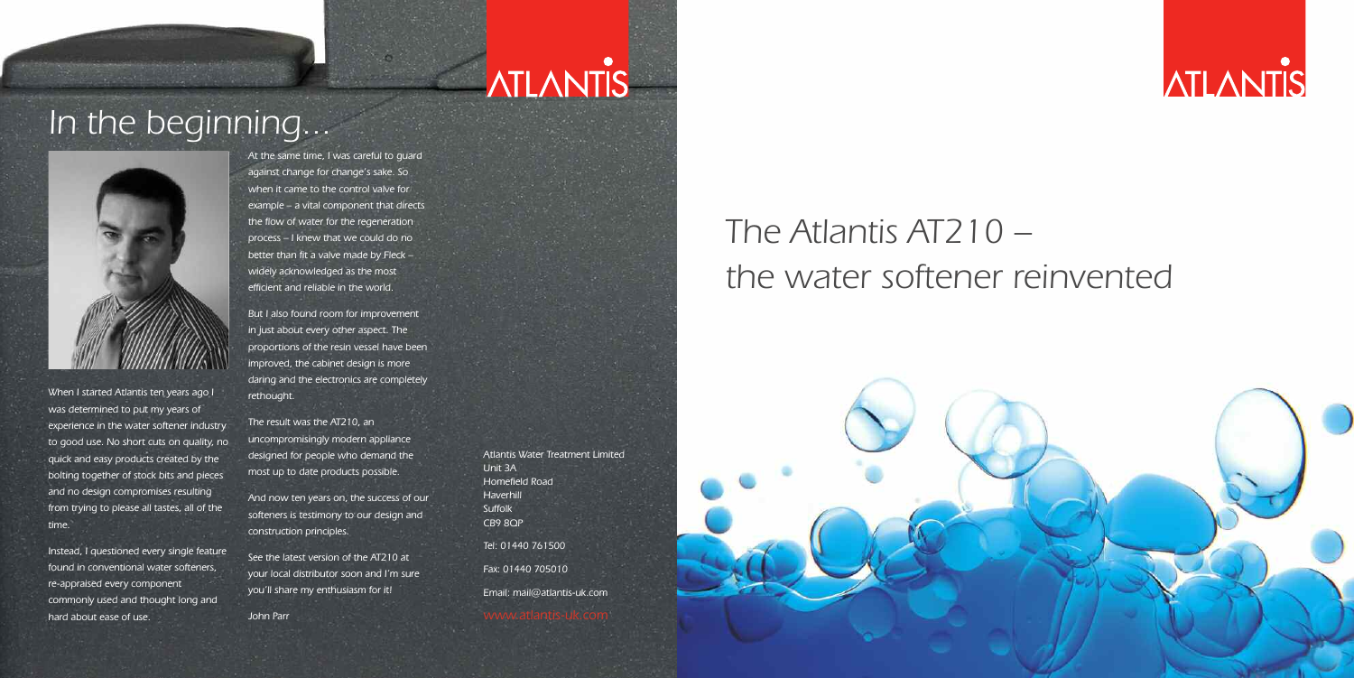# **ATLANTIS**

### *In the beginning...*



*When I started Atlantis ten years ago I was determined to put my years of experience in the water softener industry to good use. No short cuts on quality, no quick and easy products created by the bolting together of stock bits and pieces and no design compromises resulting from trying to please all tastes, all of the time.*

*Instead, I questioned every single feature found in conventional water softeners, re-appraised every component commonly used and thought long and hard about ease of use.*

*At the same time, I was careful to guard against change for change's sake. So when it came to the control valve for example – a vital component that directs the flow of water for the regeneration process – I knew that we could do no better than fit a valve made by Fleck – widely acknowledged as the most efficient and reliable in the world.*

*But I also found room for improvement in just about every other aspect. The proportions of the resin vessel have been improved, the cabinet design is more daring and the electronics are completely rethought.*

*The result was the AT210, an uncompromisingly modern appliance designed for people who demand the most up to date products possible.*

*And now ten years on, the success of our softeners is testimony to our design and construction principles.*

*See the latest version of the AT210 at your local distributor soon and I'm sure you'll share my enthusiasm for it!*

*John Parr*

*Atlantis Water Treatment Limited Unit 3A Homefield Road Haverhill Suffolk CB9 8QP Tel: 01440 761500 Fax: 01440 705010 Email: mail@atlantis-uk.com*

## *The Atlantis AT210 – the water softener reinvented*



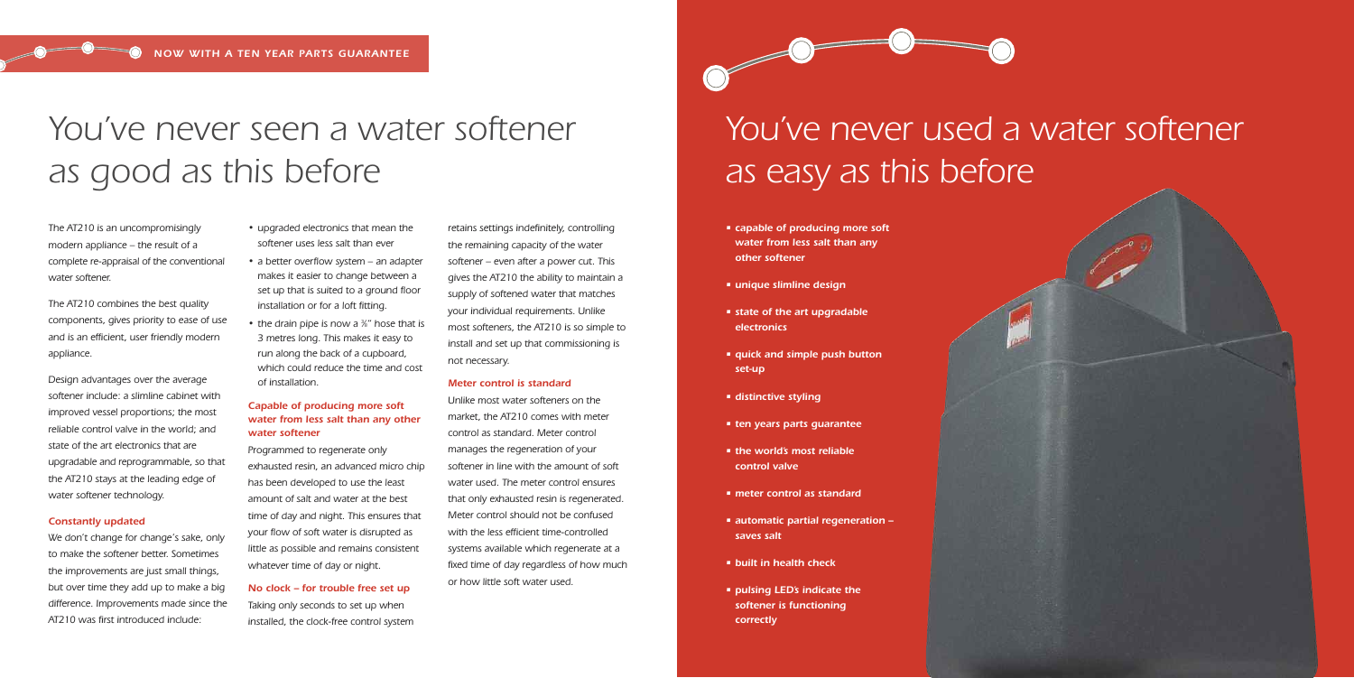### *You ve never seen a water softener ' as good as this before*

### *You ve never used a water softener ' as easy as this before*

*The AT210 is an uncompromisingly modern appliance – the result of a complete re-appraisal of the conventional water softener.*

*The AT210 combines the best quality components, gives priority to ease of use and is an efficient, user friendly modern appliance.*

*Design advantages over the average softener include: a slimline cabinet with improved vessel proportions; the most reliable control valve in the world; and state of the art electronics that are upgradable and reprogrammable, so that the AT210 stays at the leading edge of water softener technology.*

### *Constantly updated*

*We don't change for change's sake, only to make the softener better. Sometimes the improvements are just small things, but over time they add up to make a big difference. Improvements made since the AT210 was first introduced include:*

- *• upgraded electronics that mean the softener uses less salt than ever*
- *• a better overflow system – an adapter makes it easier to change between a set up that is suited to a ground floor installation or for a loft fitting.*
- *• the drain pipe is now a <sup>3</sup> ⁄8" hose that is 3 metres long. This makes it easy to run along the back of a cupboard, which could reduce the time and cost of installation.*

### *Capable of producing more soft water from less salt than any other water softener*

*Programmed to regenerate only exhausted resin, an advanced micro chip has been developed to use the least amount of salt and water at the best time of day and night. This ensures that your flow of soft water is disrupted as little as possible and remains consistent whatever time of day or night.*

### *No clock – for trouble free set up*

*Taking only seconds to set up when installed, the clock-free control system* *retains settings indefinitely, controlling the remaining capacity of the water softener – even after a power cut. This gives the AT210 the ability to maintain a supply of softened water that matches your individual requirements. Unlike most softeners, the AT210 is so simple to install and set up that commissioning is not necessary.*

#### *Meter control is standard*

*Unlike most water softeners on the market, the AT210 comes with meter control as standard. Meter control manages the regeneration of your softener in line with the amount of soft water used. The meter control ensures that only exhausted resin is regenerated. Meter control should not be confused with the less efficient time-controlled systems available which regenerate at a fixed time of day regardless of how much or how little soft water used.*

- *• capable of producing more soft water from less salt than any other softener*
- *• unique slimline design*
- *• state of the art upgradable electronics*
- *• quick and simple push button set-up*
- *• distinctive styling*
- *• ten years parts guarantee*
- *• the world's most reliable control valve*
- *• meter control as standard*
- *• automatic partial regeneration – saves salt*
- *• built in health check*
- *• pulsing LED's indicate the softener is functioning correctly*

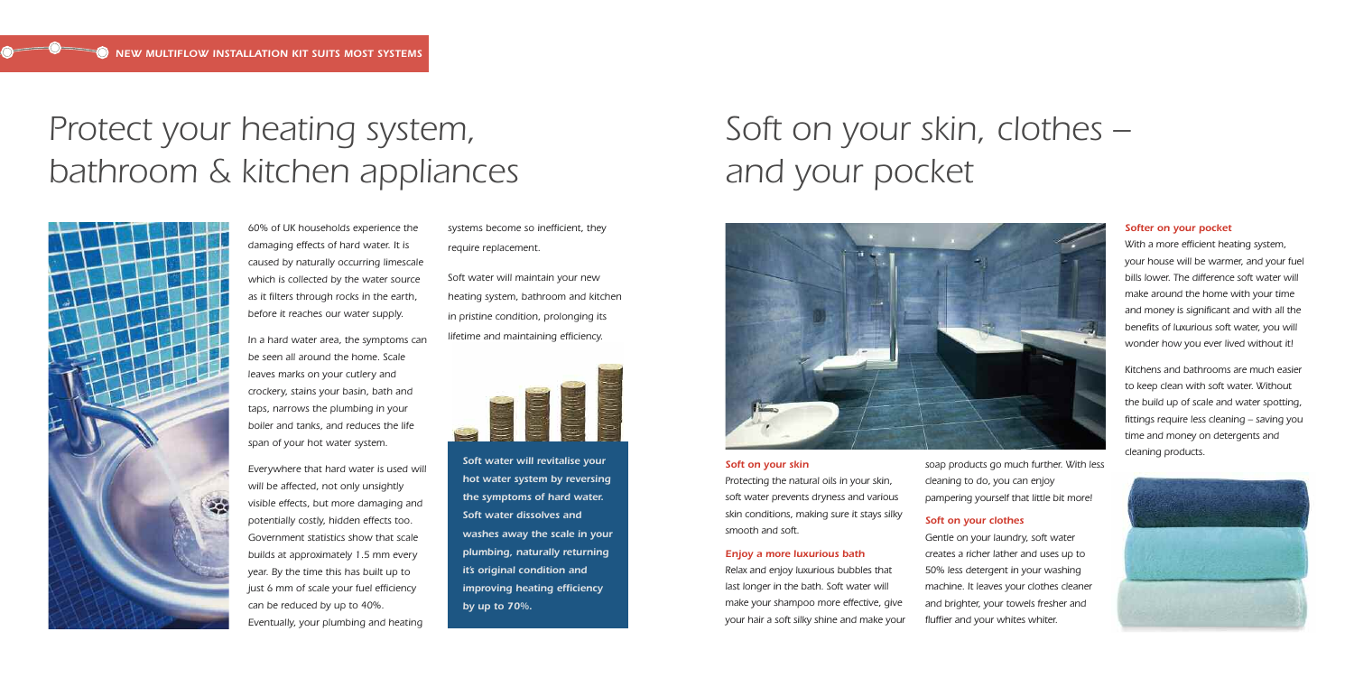### *Protect your heating system, bathroom & kitchen appliances*



*60% of UK households experience the damaging effects of hard water. It is caused by naturally occurring limescale which is collected by the water source as it filters through rocks in the earth, before it reaches our water supply.*

*In a hard water area, the symptoms can be seen all around the home. Scale leaves marks on your cutlery and crockery, stains your basin, bath and taps, narrows the plumbing in your boiler and tanks, and reduces the life span of your hot water system.*

*Everywhere that hard water is used will will be affected, not only unsightly visible effects, but more damaging and potentially costly, hidden effects too. Government statistics show that scale builds at approximately 1.5 mm every year. By the time this has built up to just 6 mm of scale your fuel efficiency can be reduced by up to 40%. Eventually, your plumbing and heating*

*systems become so inefficient, they require replacement.*

*Soft water will maintain your new heating system, bathroom and kitchen in pristine condition, prolonging its lifetime and maintaining efficiency.*



## *Soft on your skin, clothes – and your pocket*

*Soft on your skin Protecting the natural oils in your skin, soft water prevents dryness and various skin conditions, making sure it stays silky smooth and soft.*

#### *Enjoy a more luxurious bath*

*Relax and enjoy luxurious bubbles that last longer in the bath. Soft water will make your shampoo more effective, give your hair a soft silky shine and make your*

*soap products go much further. With less cleaning to do, you can enjoy pampering yourself that little bit more!*

### *Soft on your clothes*

*Gentle on your laundry, soft water creates a richer lather and uses up to 50% less detergent in your washing machine. It leaves your clothes cleaner and brighter, your towels fresher and fluffier and your whites whiter.*

#### *Softer on your pocket*

*With a more efficient heating system, your house will be warmer, and your fuel bills lower. The difference soft water will make around the home with your time and money is significant and with all the benefits of luxurious soft water, you will wonder how you ever lived without it!*

*Kitchens and bathrooms are much easier to keep clean with soft water. Without the build up of scale and water spotting, fittings require less cleaning – saving you time and money on detergents and*





*hot water system by reversing the symptoms of hard water. Soft water dissolves and washes away the scale in your plumbing, naturally returning it's original condition and improving heating efficiency by up to 70%.*